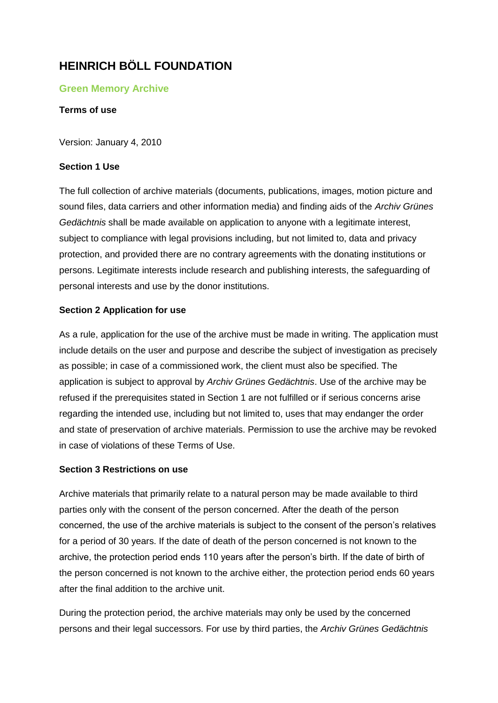# **HEINRICH BÖLL FOUNDATION**

# **Green Memory Archive**

#### **Terms of use**

Version: January 4, 2010

#### **Section 1 Use**

The full collection of archive materials (documents, publications, images, motion picture and sound files, data carriers and other information media) and finding aids of the *Archiv Grünes Gedächtnis* shall be made available on application to anyone with a legitimate interest, subject to compliance with legal provisions including, but not limited to, data and privacy protection, and provided there are no contrary agreements with the donating institutions or persons. Legitimate interests include research and publishing interests, the safeguarding of personal interests and use by the donor institutions.

### **Section 2 Application for use**

As a rule, application for the use of the archive must be made in writing. The application must include details on the user and purpose and describe the subject of investigation as precisely as possible; in case of a commissioned work, the client must also be specified. The application is subject to approval by *Archiv Grünes Gedächtnis*. Use of the archive may be refused if the prerequisites stated in Section 1 are not fulfilled or if serious concerns arise regarding the intended use, including but not limited to, uses that may endanger the order and state of preservation of archive materials. Permission to use the archive may be revoked in case of violations of these Terms of Use.

#### **Section 3 Restrictions on use**

Archive materials that primarily relate to a natural person may be made available to third parties only with the consent of the person concerned. After the death of the person concerned, the use of the archive materials is subject to the consent of the person's relatives for a period of 30 years. If the date of death of the person concerned is not known to the archive, the protection period ends 110 years after the person's birth. If the date of birth of the person concerned is not known to the archive either, the protection period ends 60 years after the final addition to the archive unit.

During the protection period, the archive materials may only be used by the concerned persons and their legal successors. For use by third parties, the *Archiv Grünes Gedächtnis*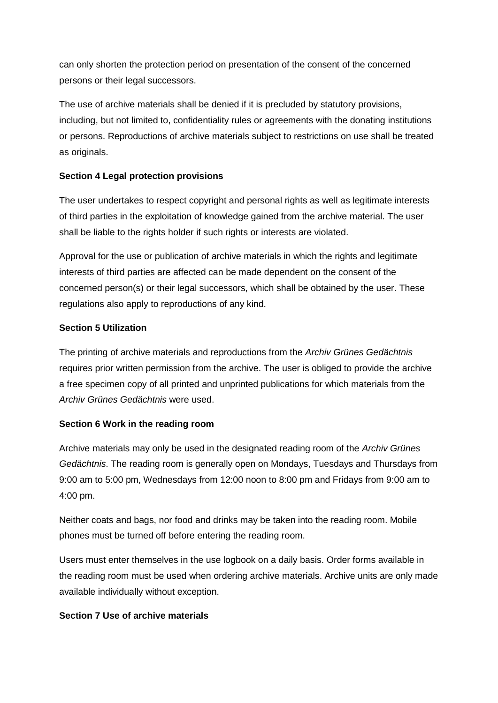can only shorten the protection period on presentation of the consent of the concerned persons or their legal successors.

The use of archive materials shall be denied if it is precluded by statutory provisions, including, but not limited to, confidentiality rules or agreements with the donating institutions or persons. Reproductions of archive materials subject to restrictions on use shall be treated as originals.

# **Section 4 Legal protection provisions**

The user undertakes to respect copyright and personal rights as well as legitimate interests of third parties in the exploitation of knowledge gained from the archive material. The user shall be liable to the rights holder if such rights or interests are violated.

Approval for the use or publication of archive materials in which the rights and legitimate interests of third parties are affected can be made dependent on the consent of the concerned person(s) or their legal successors, which shall be obtained by the user. These regulations also apply to reproductions of any kind.

# **Section 5 Utilization**

The printing of archive materials and reproductions from the *Archiv Grünes Gedächtnis*  requires prior written permission from the archive. The user is obliged to provide the archive a free specimen copy of all printed and unprinted publications for which materials from the *Archiv Grünes Gedächtnis* were used.

# **Section 6 Work in the reading room**

Archive materials may only be used in the designated reading room of the *Archiv Grünes Gedächtnis*. The reading room is generally open on Mondays, Tuesdays and Thursdays from 9:00 am to 5:00 pm, Wednesdays from 12:00 noon to 8:00 pm and Fridays from 9:00 am to 4:00 pm.

Neither coats and bags, nor food and drinks may be taken into the reading room. Mobile phones must be turned off before entering the reading room.

Users must enter themselves in the use logbook on a daily basis. Order forms available in the reading room must be used when ordering archive materials. Archive units are only made available individually without exception.

### **Section 7 Use of archive materials**